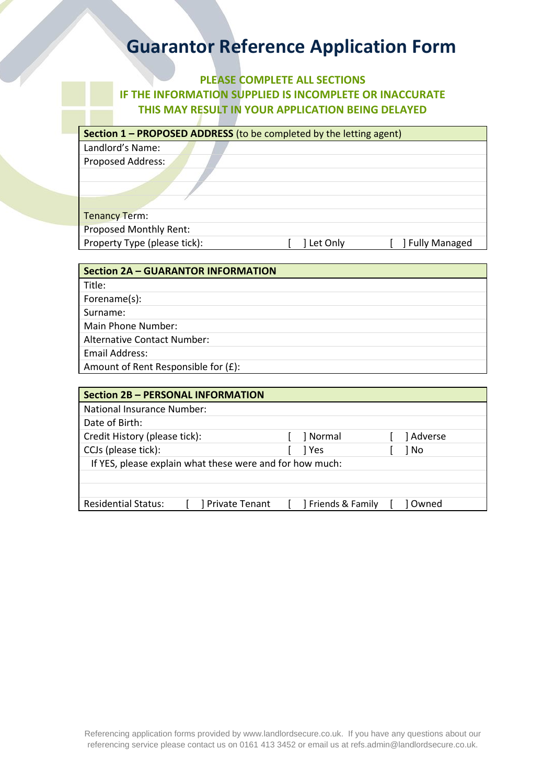## **PLEASE COMPLETE ALL SECTIONS IF THE INFORMATION SUPPLIED IS INCOMPLETE OR INACCURATE THIS MAY RESULT IN YOUR APPLICATION BEING DELAYED**

| Section 1 - PROPOSED ADDRESS (to be completed by the letting agent) |  |  |  |  |
|---------------------------------------------------------------------|--|--|--|--|
| Landlord's Name:                                                    |  |  |  |  |
| Proposed Address:                                                   |  |  |  |  |
|                                                                     |  |  |  |  |
|                                                                     |  |  |  |  |
|                                                                     |  |  |  |  |
|                                                                     |  |  |  |  |

| <b>Tenancy Term:</b>          |            |                   |
|-------------------------------|------------|-------------------|
| <b>Proposed Monthly Rent:</b> |            |                   |
| Property Type (please tick):  | 1 Let Only | [ ] Fully Managed |

| <b>Section 2A - GUARANTOR INFORMATION</b> |
|-------------------------------------------|
| Title:                                    |
| Forename(s):                              |
| Surname:                                  |
| Main Phone Number:                        |
| <b>Alternative Contact Number:</b>        |
| <b>Email Address:</b>                     |
| Amount of Rent Responsible for (£):       |

| <b>Section 2B - PERSONAL INFORMATION</b>                 |  |                |       |                  |      |           |
|----------------------------------------------------------|--|----------------|-------|------------------|------|-----------|
| National Insurance Number:                               |  |                |       |                  |      |           |
| Date of Birth:                                           |  |                |       |                  |      |           |
| Credit History (please tick):                            |  |                |       | ] Normal         |      | ] Adverse |
| CCJs (please tick):                                      |  |                | 1 Yes |                  | 1 No |           |
| If YES, please explain what these were and for how much: |  |                |       |                  |      |           |
|                                                          |  |                |       |                  |      |           |
|                                                          |  |                |       |                  |      |           |
| <b>Residential Status:</b>                               |  | Private Tenant |       | Friends & Family |      | l Owned   |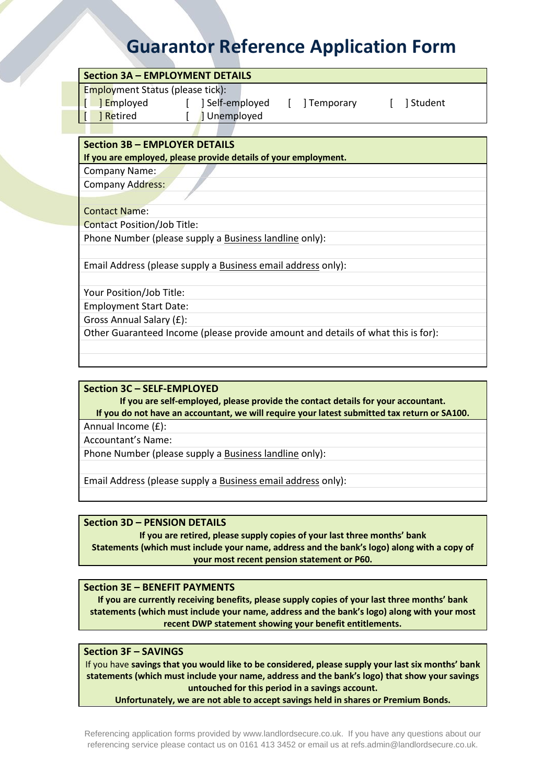| <b>Section 3A - EMPLOYMENT DETAILS</b>                                                                                              |
|-------------------------------------------------------------------------------------------------------------------------------------|
| <b>Employment Status (please tick):</b><br><b>I</b> Employed [ ] Self-employed [ ] Temporary [ ] Student<br>J Unemployed<br>Retired |
| <b>Section 3B - EMPLOYER DETAILS</b><br>If you are employed, please provide details of your employment.                             |
| Company Name:                                                                                                                       |
| <b>Company Address:</b>                                                                                                             |
|                                                                                                                                     |
| <b>Contact Name:</b>                                                                                                                |
| <b>Contact Position/Job Title:</b>                                                                                                  |
| Phone Number (please supply a Business landline only):                                                                              |
| Email Address (please supply a Business email address only):                                                                        |
| Your Position/Job Title:                                                                                                            |
| <b>Employment Start Date:</b>                                                                                                       |
| Gross Annual Salary (£):                                                                                                            |
| Other Guaranteed Income (please provide amount and details of what this is for):                                                    |

### **Section 3C – SELF-EMPLOYED**

**If you are self-employed, please provide the contact details for your accountant. If you do not have an accountant, we will require your latest submitted tax return or SA100.**

Annual Income (£):

Accountant's Name:

Phone Number (please supply a Business landline only):

Email Address (please supply a Business email address only):

### **Section 3D – PENSION DETAILS**

**If you are retired, please supply copies of your last three months' bank Statements (which must include your name, address and the bank's logo) along with a copy of your most recent pension statement or P60.**

**Section 3E – BENEFIT PAYMENTS**

**If you are currently receiving benefits, please supply copies of your last three months' bank statements (which must include your name, address and the bank's logo) along with your most recent DWP statement showing your benefit entitlements.**

### **Section 3F – SAVINGS**

If you have **savings that you would like to be considered, please supply your last six months' bank statements (which must include your name, address and the bank's logo) that show your savings untouched for this period in a savings account.**

**Unfortunately, we are not able to accept savings held in shares or Premium Bonds.**

Referencing application forms provided by [www.landlordsecure.co.uk.](http://www.landlordsecure.co.uk/) If you have any questions about our referencing service please contact us on 0161 413 3452 or email us at refs.admin@landlordsecure.co.uk.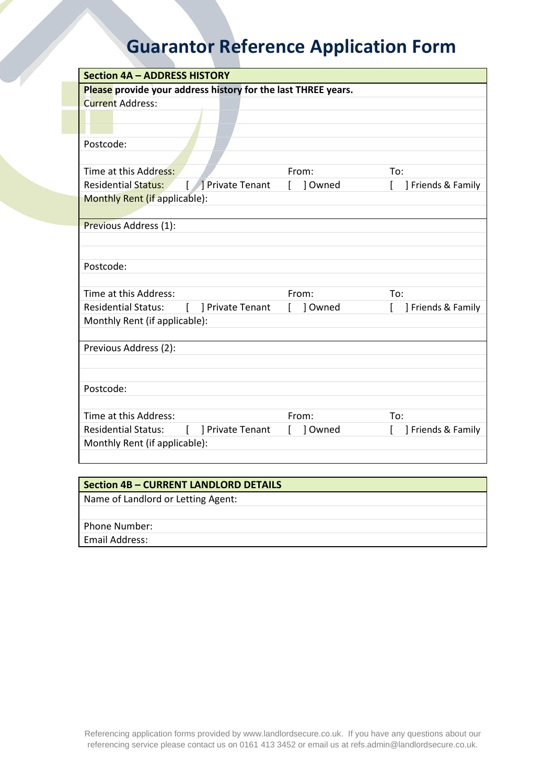| Please provide your address history for the last THREE years.<br><b>Current Address:</b><br>Postcode:                |  |  |  |
|----------------------------------------------------------------------------------------------------------------------|--|--|--|
|                                                                                                                      |  |  |  |
|                                                                                                                      |  |  |  |
|                                                                                                                      |  |  |  |
|                                                                                                                      |  |  |  |
|                                                                                                                      |  |  |  |
| Time at this Address:<br>From:<br>To:                                                                                |  |  |  |
| [   Private Tenant<br>$\mathsf{L}$<br><b>Residential Status:</b><br>$\mathbf{L}$<br>1 Owned<br>] Friends & Family    |  |  |  |
| Monthly Rent (if applicable):                                                                                        |  |  |  |
|                                                                                                                      |  |  |  |
| Previous Address (1):                                                                                                |  |  |  |
|                                                                                                                      |  |  |  |
|                                                                                                                      |  |  |  |
| Postcode:                                                                                                            |  |  |  |
|                                                                                                                      |  |  |  |
| Time at this Address:<br>From:<br>To:                                                                                |  |  |  |
| <b>Residential Status:</b><br>$\mathbf{L}$<br>] Owned<br>L<br>] Private Tenant<br>$\mathbf{L}$<br>] Friends & Family |  |  |  |
| Monthly Rent (if applicable):                                                                                        |  |  |  |
|                                                                                                                      |  |  |  |
| Previous Address (2):                                                                                                |  |  |  |
|                                                                                                                      |  |  |  |
|                                                                                                                      |  |  |  |
| Postcode:                                                                                                            |  |  |  |
|                                                                                                                      |  |  |  |
| Time at this Address:<br>From:<br>To:                                                                                |  |  |  |
| <b>Residential Status:</b><br>[ ] Private Tenant<br>1 Owned<br>] Friends & Family<br>L                               |  |  |  |
| Monthly Rent (if applicable):                                                                                        |  |  |  |
|                                                                                                                      |  |  |  |

## **Section 4B – CURRENT LANDLORD DETAILS**

Name of Landlord or Letting Agent:

Phone Number:

Email Address: